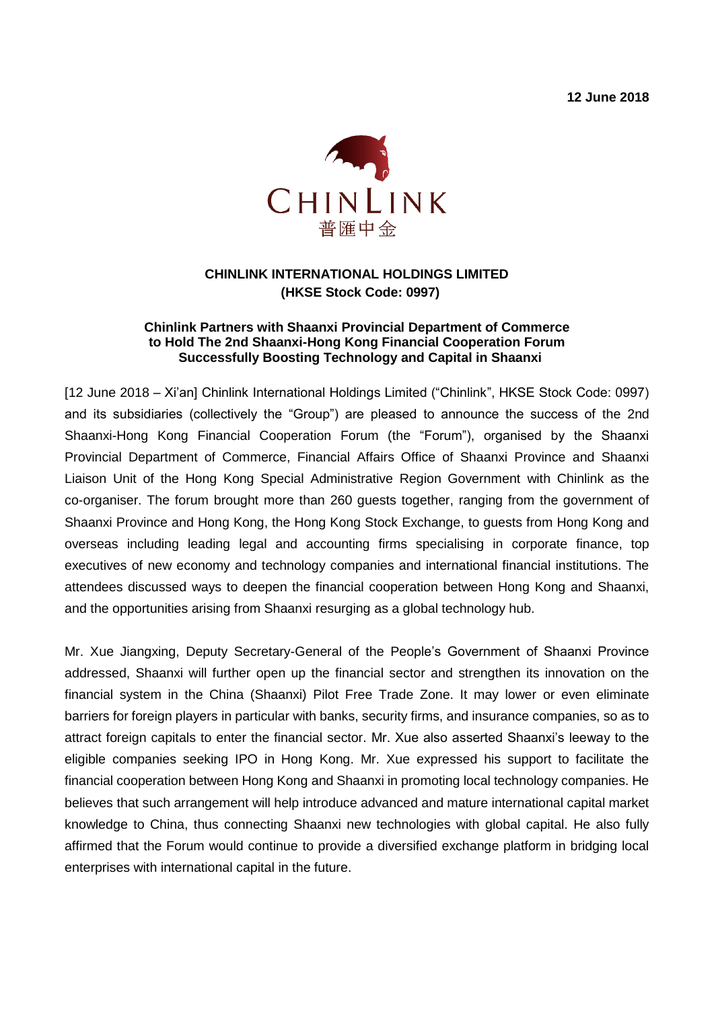**12 June 2018**



## **CHINLINK INTERNATIONAL HOLDINGS LIMITED (HKSE Stock Code: 0997)**

## **Chinlink Partners with Shaanxi Provincial Department of Commerce to Hold The 2nd Shaanxi-Hong Kong Financial Cooperation Forum Successfully Boosting Technology and Capital in Shaanxi**

[12 June 2018 – Xi'an] Chinlink International Holdings Limited ("Chinlink", HKSE Stock Code: 0997) and its subsidiaries (collectively the "Group") are pleased to announce the success of the 2nd Shaanxi-Hong Kong Financial Cooperation Forum (the "Forum"), organised by the Shaanxi Provincial Department of Commerce, Financial Affairs Office of Shaanxi Province and Shaanxi Liaison Unit of the Hong Kong Special Administrative Region Government with Chinlink as the co-organiser. The forum brought more than 260 guests together, ranging from the government of Shaanxi Province and Hong Kong, the Hong Kong Stock Exchange, to guests from Hong Kong and overseas including leading legal and accounting firms specialising in corporate finance, top executives of new economy and technology companies and international financial institutions. The attendees discussed ways to deepen the financial cooperation between Hong Kong and Shaanxi, and the opportunities arising from Shaanxi resurging as a global technology hub.

Mr. Xue Jiangxing, Deputy Secretary-General of the People's Government of Shaanxi Province addressed, Shaanxi will further open up the financial sector and strengthen its innovation on the financial system in the China (Shaanxi) Pilot Free Trade Zone. It may lower or even eliminate barriers for foreign players in particular with banks, security firms, and insurance companies, so as to attract foreign capitals to enter the financial sector. Mr. Xue also asserted Shaanxi's leeway to the eligible companies seeking IPO in Hong Kong. Mr. Xue expressed his support to facilitate the financial cooperation between Hong Kong and Shaanxi in promoting local technology companies. He believes that such arrangement will help introduce advanced and mature international capital market knowledge to China, thus connecting Shaanxi new technologies with global capital. He also fully affirmed that the Forum would continue to provide a diversified exchange platform in bridging local enterprises with international capital in the future.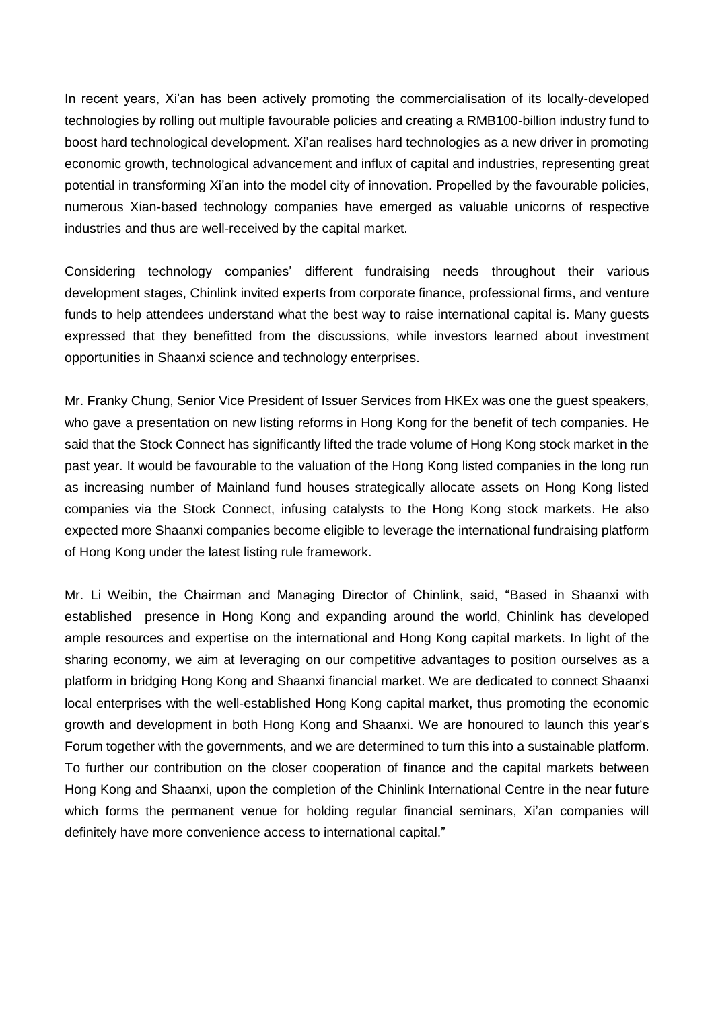In recent years, Xi'an has been actively promoting the commercialisation of its locally-developed technologies by rolling out multiple favourable policies and creating a RMB100-billion industry fund to boost hard technological development. Xi'an realises hard technologies as a new driver in promoting economic growth, technological advancement and influx of capital and industries, representing great potential in transforming Xi'an into the model city of innovation. Propelled by the favourable policies, numerous Xian-based technology companies have emerged as valuable unicorns of respective industries and thus are well-received by the capital market.

Considering technology companies' different fundraising needs throughout their various development stages, Chinlink invited experts from corporate finance, professional firms, and venture funds to help attendees understand what the best way to raise international capital is. Many guests expressed that they benefitted from the discussions, while investors learned about investment opportunities in Shaanxi science and technology enterprises.

Mr. Franky Chung, Senior Vice President of Issuer Services from HKEx was one the guest speakers, who gave a presentation on new listing reforms in Hong Kong for the benefit of tech companies. He said that the Stock Connect has significantly lifted the trade volume of Hong Kong stock market in the past year. It would be favourable to the valuation of the Hong Kong listed companies in the long run as increasing number of Mainland fund houses strategically allocate assets on Hong Kong listed companies via the Stock Connect, infusing catalysts to the Hong Kong stock markets. He also expected more Shaanxi companies become eligible to leverage the international fundraising platform of Hong Kong under the latest listing rule framework.

Mr. Li Weibin, the Chairman and Managing Director of Chinlink, said, "Based in Shaanxi with established presence in Hong Kong and expanding around the world, Chinlink has developed ample resources and expertise on the international and Hong Kong capital markets. In light of the sharing economy, we aim at leveraging on our competitive advantages to position ourselves as a platform in bridging Hong Kong and Shaanxi financial market. We are dedicated to connect Shaanxi local enterprises with the well-established Hong Kong capital market, thus promoting the economic growth and development in both Hong Kong and Shaanxi. We are honoured to launch this year's Forum together with the governments, and we are determined to turn this into a sustainable platform. To further our contribution on the closer cooperation of finance and the capital markets between Hong Kong and Shaanxi, upon the completion of the Chinlink International Centre in the near future which forms the permanent venue for holding regular financial seminars, Xi'an companies will definitely have more convenience access to international capital."